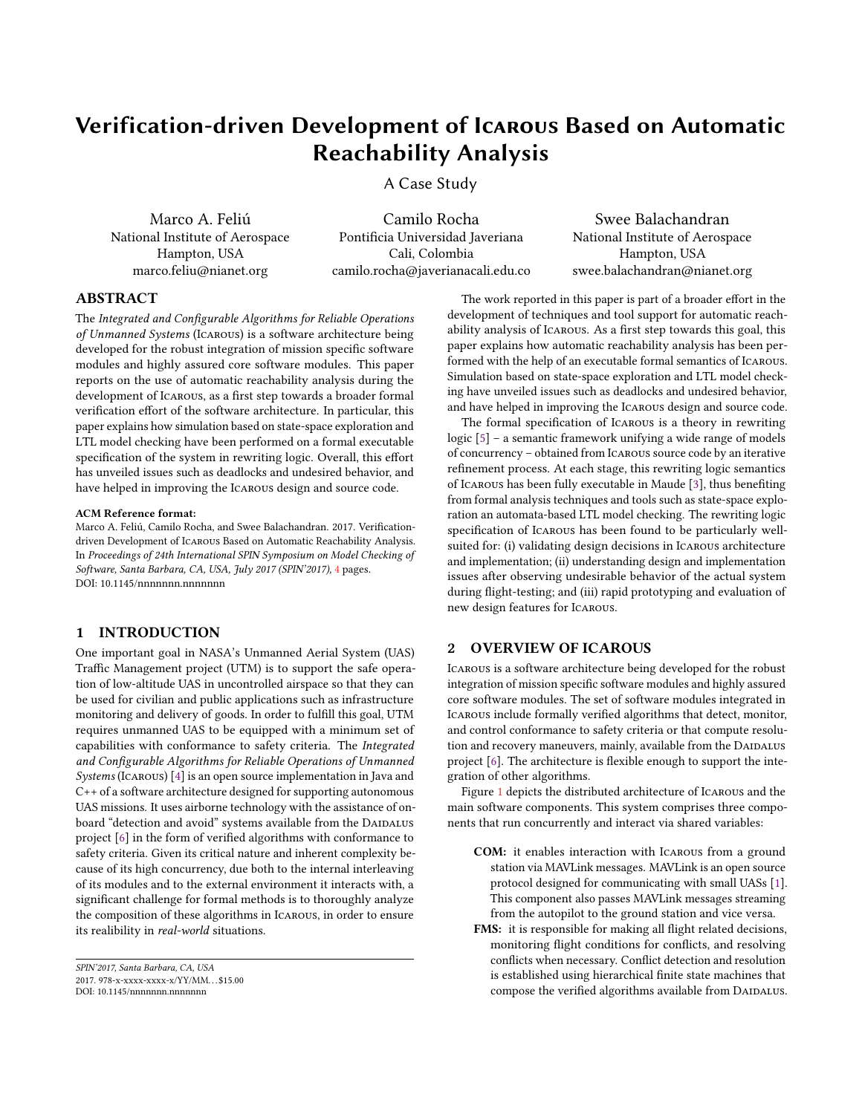# Verification-driven Development of Icarous Based on Automatic Reachability Analysis

A Case Study

Marco A. Feliú National Institute of Aerospace Hampton, USA marco.feliu@nianet.org

Camilo Rocha Pontificia Universidad Javeriana Cali, Colombia camilo.rocha@javerianacali.edu.co

Swee Balachandran National Institute of Aerospace Hampton, USA swee.balachandran@nianet.org

## ABSTRACT

The Integrated and Configurable Algorithms for Reliable Operations of Unmanned Systems (Icarous) is a software architecture being developed for the robust integration of mission specific software modules and highly assured core software modules. This paper reports on the use of automatic reachability analysis during the development of Icarous, as a first step towards a broader formal verification effort of the software architecture. In particular, this paper explains how simulation based on state-space exploration and LTL model checking have been performed on a formal executable specification of the system in rewriting logic. Overall, this effort has unveiled issues such as deadlocks and undesired behavior, and have helped in improving the Icarous design and source code.

#### ACM Reference format:

Marco A. Feliú, Camilo Rocha, and Swee Balachandran. 2017. Verificationdriven Development of Icarous Based on Automatic Reachability Analysis. In Proceedings of 24th International SPIN Symposium on Model Checking of Software, Santa Barbara, CA, USA, July 2017 (SPIN'2017), [4](#page-3-0) pages. DOI: 10.1145/nnnnnnn.nnnnnnn

# 1 INTRODUCTION

One important goal in NASA's Unmanned Aerial System (UAS) Traffic Management project (UTM) is to support the safe operation of low-altitude UAS in uncontrolled airspace so that they can be used for civilian and public applications such as infrastructure monitoring and delivery of goods. In order to fulfill this goal, UTM requires unmanned UAS to be equipped with a minimum set of capabilities with conformance to safety criteria. The Integrated and Configurable Algorithms for Reliable Operations of Unmanned Systems (Icarous) [\[4\]](#page-3-1) is an open source implementation in Java and C++ of a software architecture designed for supporting autonomous UAS missions. It uses airborne technology with the assistance of onboard "detection and avoid" systems available from the DAIDALUS project  $[6]$  in the form of verified algorithms with conformance to safety criteria. Given its critical nature and inherent complexity because of its high concurrency, due both to the internal interleaving of its modules and to the external environment it interacts with, a significant challenge for formal methods is to thoroughly analyze the composition of these algorithms in Icarous, in order to ensure its realibility in real-world situations.

The work reported in this paper is part of a broader effort in the development of techniques and tool support for automatic reachability analysis of Icarous. As a first step towards this goal, this paper explains how automatic reachability analysis has been performed with the help of an executable formal semantics of Icarous. Simulation based on state-space exploration and LTL model checking have unveiled issues such as deadlocks and undesired behavior, and have helped in improving the Icarous design and source code.

The formal specification of Icarous is a theory in rewriting logic [\[5\]](#page-3-3) – a semantic framework unifying a wide range of models of concurrency – obtained from Icarous source code by an iterative refinement process. At each stage, this rewriting logic semantics of Icarous has been fully executable in Maude [\[3\]](#page-3-4), thus beneting from formal analysis techniques and tools such as state-space exploration an automata-based LTL model checking. The rewriting logic specification of Icarous has been found to be particularly wellsuited for: (i) validating design decisions in Icarous architecture and implementation; (ii) understanding design and implementation issues after observing undesirable behavior of the actual system during flight-testing; and (iii) rapid prototyping and evaluation of new design features for Icarous.

# <span id="page-0-0"></span>2 OVERVIEW OF ICAROUS

Icarous is a software architecture being developed for the robust integration of mission specific software modules and highly assured core software modules. The set of software modules integrated in ICAROUS include formally verified algorithms that detect, monitor, and control conformance to safety criteria or that compute resolution and recovery maneuvers, mainly, available from the DAIDALUS project  $[6]$ . The architecture is flexible enough to support the integration of other algorithms.

Figure [1](#page-1-0) depicts the distributed architecture of Icarous and the main software components. This system comprises three components that run concurrently and interact via shared variables:

- COM: it enables interaction with Icarous from a ground station via MAVLink messages. MAVLink is an open source protocol designed for communicating with small UASs [\[1\]](#page-3-5). This component also passes MAVLink messages streaming from the autopilot to the ground station and vice versa.
- FMS: it is responsible for making all flight related decisions, monitoring flight conditions for conflicts, and resolving conflicts when necessary. Conflict detection and resolution is established using hierarchical finite state machines that compose the verified algorithms available from DAIDALUS.

SPIN'2017, Santa Barbara, CA, USA 2017. 978-x-xxxx-xxxx-x/YY/MM. . . \$15.00

DOI: 10.1145/nnnnnnn.nnnnnnn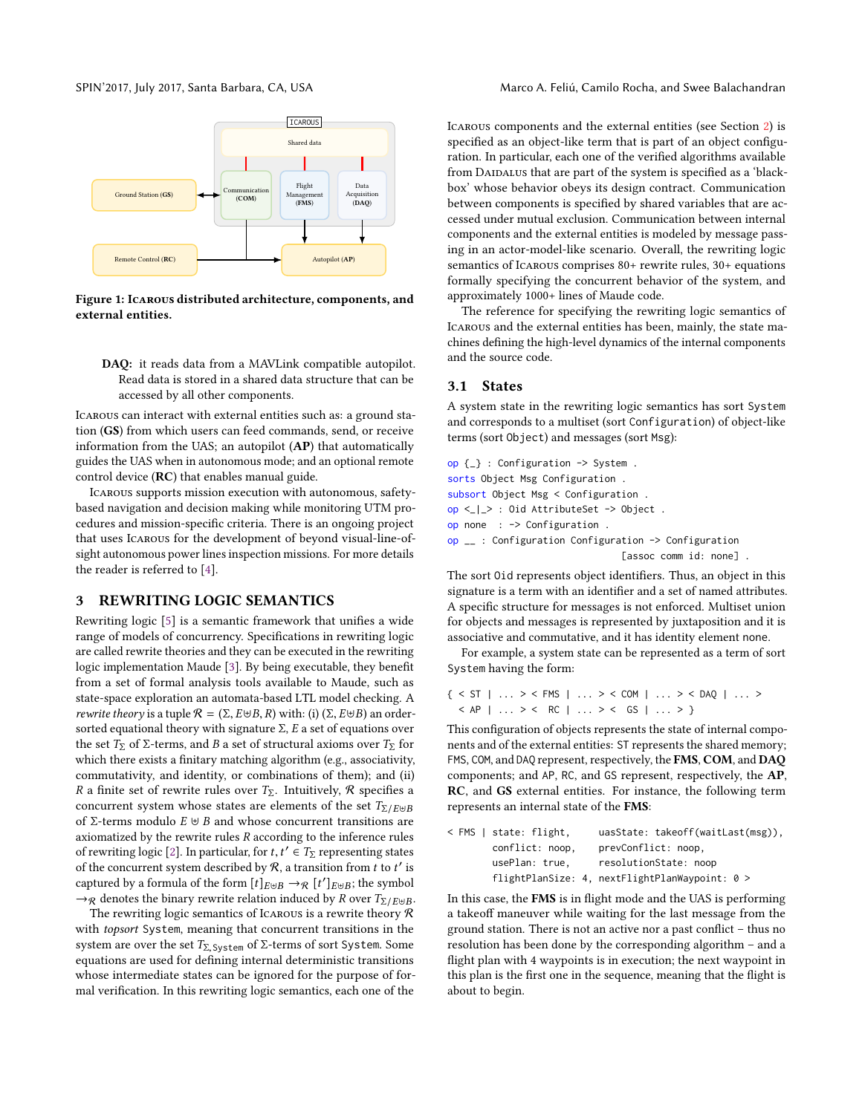<span id="page-1-0"></span>

Figure 1: Icarous distributed architecture, components, and external entities.

DAQ: it reads data from a MAVLink compatible autopilot. Read data is stored in a shared data structure that can be accessed by all other components.

Icarous can interact with external entities such as: a ground station (GS) from which users can feed commands, send, or receive information from the UAS; an autopilot (AP) that automatically guides the UAS when in autonomous mode; and an optional remote control device (RC) that enables manual guide.

Icarous supports mission execution with autonomous, safetybased navigation and decision making while monitoring UTM procedures and mission-specific criteria. There is an ongoing project that uses Icarous for the development of beyond visual-line-ofsight autonomous power lines inspection missions. For more details the reader is referred to [\[4\]](#page-3-1).

## <span id="page-1-1"></span>3 REWRITING LOGIC SEMANTICS

Rewriting logic  $[5]$  is a semantic framework that unifies a wide range of models of concurrency. Specifications in rewriting logic are called rewrite theories and they can be executed in the rewriting logic implementation Maude [\[3\]](#page-3-4). By being executable, they benefit from a set of formal analysis tools available to Maude, such as state-space exploration an automata-based LTL model checking. A *rewrite theory* is a tuple  $\mathcal{R} = (\Sigma, E \cup B, R)$  with: (i)  $(\Sigma, E \cup B)$  an ordersorted equational theory with signature  $\Sigma$ ,  $E$  a set of equations over the set  $T_{\Sigma}$  of Σ-terms, and B a set of structural axioms over  $T_{\Sigma}$  for which there exists a finitary matching algorithm (e.g., associativity, commutativity, and identity, or combinations of them); and (ii) R a finite set of rewrite rules over  $T_{\Sigma}$ . Intuitively, R specifies a concurrent system whose states are elements of the set  $T_{\Sigma/E\oplus B}$ of Σ-terms modulo  $E \uplus B$  and whose concurrent transitions are axiomatized by the rewrite rules  $R$  according to the inference rules of rewriting logic [\[2\]](#page-3-6). In particular, for  $t, t' \in T_{\Sigma}$  representing states of the concurrent system described by  $\mathcal{R}$  a transition from t to t' is of the concurrent system described by  $R$ , a transition from t to t' is captured by a formula of the form  $[t]_{E \uplus B} \to_{\mathcal{R}} [t']_{E \uplus B}$ ; the symbol  $\rightarrow$ <sub>R</sub> denotes the binary rewrite relation induced by R over  $T_{\Sigma/E\uplus B}$ .

The rewriting logic semantics of Icarous is a rewrite theory  $R$ with topsort System, meaning that concurrent transitions in the system are over the set  $T_{\Sigma, System}$  of  $\Sigma$ -terms of sort System. Some equations are used for defining internal deterministic transitions whose intermediate states can be ignored for the purpose of formal verification. In this rewriting logic semantics, each one of the

SPIN'2017, July 2017, Santa Barbara, CA, USA Marco A. Feliú, Camilo Rocha, and Swee Balachandran

Icarous components and the external entities (see Section [2\)](#page-0-0) is specified as an object-like term that is part of an object configuration. In particular, each one of the verified algorithms available from DAIDALUS that are part of the system is specified as a 'blackbox' whose behavior obeys its design contract. Communication between components is specified by shared variables that are accessed under mutual exclusion. Communication between internal components and the external entities is modeled by message passing in an actor-model-like scenario. Overall, the rewriting logic semantics of Icarous comprises 80+ rewrite rules, 30+ equations formally specifying the concurrent behavior of the system, and approximately 1000+ lines of Maude code.

The reference for specifying the rewriting logic semantics of Icarous and the external entities has been, mainly, the state machines defining the high-level dynamics of the internal components and the source code.

## 3.1 States

A system state in the rewriting logic semantics has sort System and corresponds to a multiset (sort Configuration) of object-like terms (sort Object) and messages (sort Msg):

op {\_} : Configuration -> System . sorts Object Msg Configuration . subsort Object Msg < Configuration . op <\_|\_> : Oid AttributeSet -> Object . op none : -> Configuration . op \_\_ : Configuration Configuration -> Configuration [assoc comm id: none]

The sort 0id represents object identifiers. Thus, an object in this signature is a term with an identifier and a set of named attributes. A specific structure for messages is not enforced. Multiset union for objects and messages is represented by juxtaposition and it is associative and commutative, and it has identity element none.

For example, a system state can be represented as a term of sort System having the form:

```
{ < ST | ... > < FMS | ... > < COM | ... > < DAQ | ... >
  \langle AP | ... \rangle \langle RC | ... \rangle \langle GS | ... \rangle
```
This configuration of objects represents the state of internal components and of the external entities: ST represents the shared memory; FMS, COM, and DAQ represent, respectively, the FMS, COM, and DAQ components; and AP, RC, and GS represent, respectively, the AP, RC, and GS external entities. For instance, the following term represents an internal state of the FMS:

| $\leq$ FMS   state: flight, | uasState: takeoff(waitLast(msg)),                |
|-----------------------------|--------------------------------------------------|
| conflict: noop,             | prevConflict: noop,                              |
| usePlan: true.              | resolutionState: noop                            |
|                             | flightPlanSize: 4, nextFlightPlanWaypoint: $0 >$ |

In this case, the FMS is in flight mode and the UAS is performing a takeoff maneuver while waiting for the last message from the ground station. There is not an active nor a past conflict - thus no resolution has been done by the corresponding algorithm – and a flight plan with 4 waypoints is in execution; the next waypoint in this plan is the first one in the sequence, meaning that the flight is about to begin.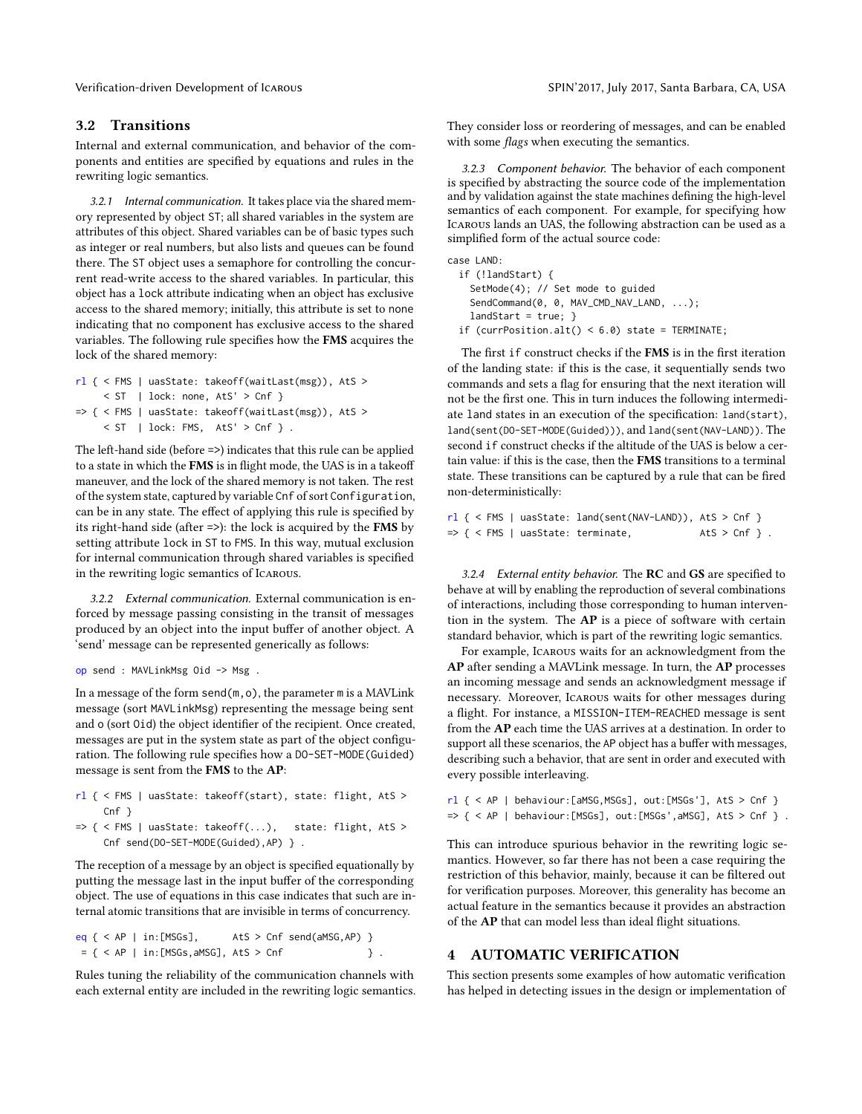Verification-driven Development of Icarous SPIN'2017, July 2017, Santa Barbara, CA, USA

## 3.2 Transitions

Internal and external communication, and behavior of the components and entities are specified by equations and rules in the rewriting logic semantics.

3.2.1 Internal communication. It takes place via the shared memory represented by object ST; all shared variables in the system are attributes of this object. Shared variables can be of basic types such as integer or real numbers, but also lists and queues can be found there. The ST object uses a semaphore for controlling the concurrent read-write access to the shared variables. In particular, this object has a lock attribute indicating when an object has exclusive access to the shared memory; initially, this attribute is set to none indicating that no component has exclusive access to the shared variables. The following rule specifies how the FMS acquires the lock of the shared memory:

```
rl { < FMS | uasState: takeoff(waitLast(msg)), AtS >
     < ST | lock: none, AtS' > Cnf }
=> { < FMS | uasState: takeoff(waitLast(msg)), AtS >
     < ST | lock: FMS, AtS' > Cnf }.
```
The left-hand side (before =>) indicates that this rule can be applied to a state in which the  $FMS$  is in flight mode, the UAS is in a takeoff maneuver, and the lock of the shared memory is not taken. The rest of the system state, captured by variable Cnf of sort Configuration, can be in any state. The effect of applying this rule is specified by its right-hand side (after =>): the lock is acquired by the FMS by setting attribute lock in ST to FMS. In this way, mutual exclusion for internal communication through shared variables is specified in the rewriting logic semantics of Icarous.

3.2.2 External communication. External communication is enforced by message passing consisting in the transit of messages produced by an object into the input buffer of another object. A 'send' message can be represented generically as follows:

```
op send : MAVLinkMsg Oid -> Msg .
```
In a message of the form  $send(m,o)$ , the parameter  $m$  is a MAVLink message (sort MAVLinkMsg) representing the message being sent and o (sort 0id) the object identifier of the recipient. Once created, messages are put in the system state as part of the object configuration. The following rule specifies how a DO-SET-MODE (Guided) message is sent from the FMS to the AP:

```
rl { < FMS | uasState: takeoff(start), state: flight, AtS >
    Cnf }
```

```
\Rightarrow { < FMS | uasState: takeoff(...), state: flight, AtS >
     Cnf send(DO-SET-MODE(Guided),AP) } .
```
The reception of a message by an object is specified equationally by putting the message last in the input buffer of the corresponding object. The use of equations in this case indicates that such are internal atomic transitions that are invisible in terms of concurrency.

```
eq \{ < AP \mid in:[MSGs], \qquad AtS > Cnf \text{ send}(aMSG, AP) \}= { < AP | in:[MSGs, aMSG], AtS > Cnf } .
```
Rules tuning the reliability of the communication channels with each external entity are included in the rewriting logic semantics. They consider loss or reordering of messages, and can be enabled with some flags when executing the semantics.

3.2.3 Component behavior. The behavior of each component is specified by abstracting the source code of the implementation and by validation against the state machines defining the high-level semantics of each component. For example, for specifying how Icarous lands an UAS, the following abstraction can be used as a simplified form of the actual source code:

case LAND:

if (!landStart) { SetMode(4); // Set mode to guided SendCommand(0, 0, MAV\_CMD\_NAV\_LAND, ...);  $landStart = true;$  } if (currPosition.alt() <  $6.0$ ) state = TERMINATE;

The first if construct checks if the FMS is in the first iteration of the landing state: if this is the case, it sequentially sends two commands and sets a flag for ensuring that the next iteration will not be the first one. This in turn induces the following intermediate land states in an execution of the specification: land(start), land(sent(DO-SET-MODE(Guided))), and land(sent(NAV-LAND)). The second if construct checks if the altitude of the UAS is below a certain value: if this is the case, then the FMS transitions to a terminal state. These transitions can be captured by a rule that can be fired non-deterministically:

```
rl { < FMS | uasState: land(sent(NAV-LAND)), AtS > Cnf }
\Rightarrow { < FMS | uasState: terminate, \Rightarrow AtS > Cnf }.
```
3.2.4 External entity behavior. The  $RC$  and  $GS$  are specified to behave at will by enabling the reproduction of several combinations of interactions, including those corresponding to human intervention in the system. The AP is a piece of software with certain standard behavior, which is part of the rewriting logic semantics.

For example, Icarous waits for an acknowledgment from the AP after sending a MAVLink message. In turn, the AP processes an incoming message and sends an acknowledgment message if necessary. Moreover, Icarous waits for other messages during a flight. For instance, a MISSION-ITEM-REACHED message is sent from the AP each time the UAS arrives at a destination. In order to support all these scenarios, the AP object has a buffer with messages, describing such a behavior, that are sent in order and executed with every possible interleaving.

 $r1$  { < AP | behaviour:[aMSG, MSGs], out:[MSGs'], AtS > Cnf }  $\Rightarrow$  { < AP | behaviour:[MSGs], out:[MSGs',aMSG], AtS > Cnf } .

This can introduce spurious behavior in the rewriting logic semantics. However, so far there has not been a case requiring the restriction of this behavior, mainly, because it can be filtered out for verification purposes. Moreover, this generality has become an actual feature in the semantics because it provides an abstraction of the AP that can model less than ideal flight situations.

## 4 AUTOMATIC VERIFICATION

This section presents some examples of how automatic verification has helped in detecting issues in the design or implementation of